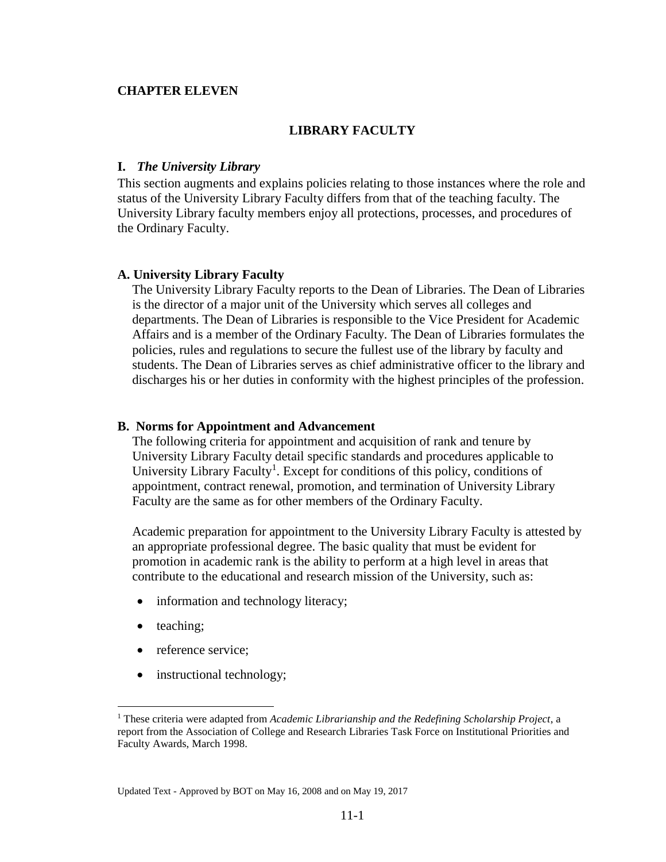### **CHAPTER ELEVEN**

#### **LIBRARY FACULTY**

### **I.** *The University Library*

This section augments and explains policies relating to those instances where the role and status of the University Library Faculty differs from that of the teaching faculty. The University Library faculty members enjoy all protections, processes, and procedures of the Ordinary Faculty.

#### **A. University Library Faculty**

The University Library Faculty reports to the Dean of Libraries. The Dean of Libraries is the director of a major unit of the University which serves all colleges and departments. The Dean of Libraries is responsible to the Vice President for Academic Affairs and is a member of the Ordinary Faculty. The Dean of Libraries formulates the policies, rules and regulations to secure the fullest use of the library by faculty and students. The Dean of Libraries serves as chief administrative officer to the library and discharges his or her duties in conformity with the highest principles of the profession.

#### **B. Norms for Appointment and Advancement**

The following criteria for appointment and acquisition of rank and tenure by University Library Faculty detail specific standards and procedures applicable to University Library Faculty<sup>1</sup>. Except for conditions of this policy, conditions of appointment, contract renewal, promotion, and termination of University Library Faculty are the same as for other members of the Ordinary Faculty.

Academic preparation for appointment to the University Library Faculty is attested by an appropriate professional degree. The basic quality that must be evident for promotion in academic rank is the ability to perform at a high level in areas that contribute to the educational and research mission of the University, such as:

- information and technology literacy;
- teaching;

 $\overline{a}$ 

- reference service;
- instructional technology;

<sup>1</sup> These criteria were adapted from *Academic Librarianship and the Redefining Scholarship Project*, a report from the Association of College and Research Libraries Task Force on Institutional Priorities and Faculty Awards, March 1998.

Updated Text - Approved by BOT on May 16, 2008 and on May 19, 2017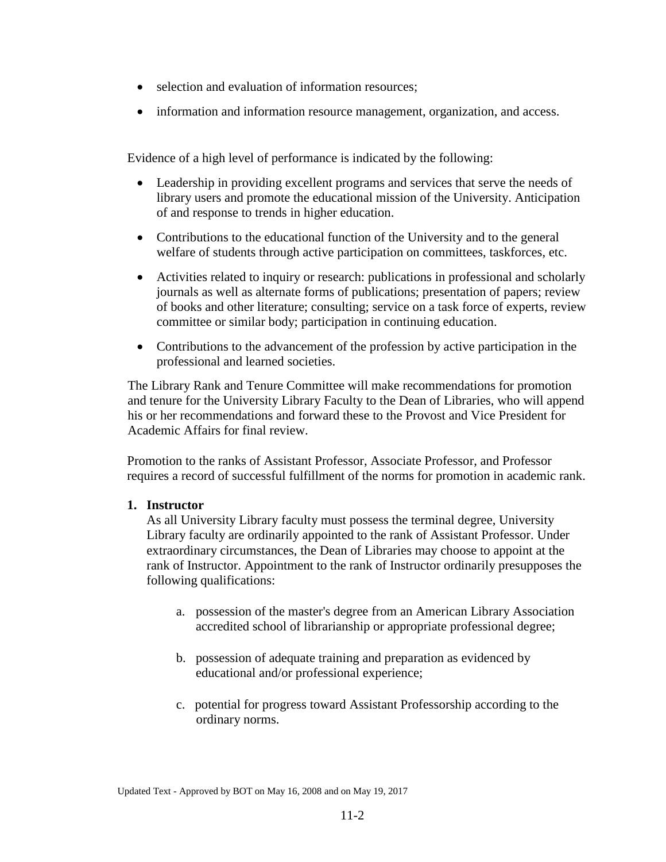- selection and evaluation of information resources;
- information and information resource management, organization, and access.

Evidence of a high level of performance is indicated by the following:

- Leadership in providing excellent programs and services that serve the needs of library users and promote the educational mission of the University. Anticipation of and response to trends in higher education.
- Contributions to the educational function of the University and to the general welfare of students through active participation on committees, taskforces, etc.
- Activities related to inquiry or research: publications in professional and scholarly journals as well as alternate forms of publications; presentation of papers; review of books and other literature; consulting; service on a task force of experts, review committee or similar body; participation in continuing education.
- Contributions to the advancement of the profession by active participation in the professional and learned societies.

The Library Rank and Tenure Committee will make recommendations for promotion and tenure for the University Library Faculty to the Dean of Libraries, who will append his or her recommendations and forward these to the Provost and Vice President for Academic Affairs for final review.

Promotion to the ranks of Assistant Professor, Associate Professor, and Professor requires a record of successful fulfillment of the norms for promotion in academic rank.

## **1. Instructor**

As all University Library faculty must possess the terminal degree, University Library faculty are ordinarily appointed to the rank of Assistant Professor. Under extraordinary circumstances, the Dean of Libraries may choose to appoint at the rank of Instructor. Appointment to the rank of Instructor ordinarily presupposes the following qualifications:

- a. possession of the master's degree from an American Library Association accredited school of librarianship or appropriate professional degree;
- b. possession of adequate training and preparation as evidenced by educational and/or professional experience;
- c. potential for progress toward Assistant Professorship according to the ordinary norms.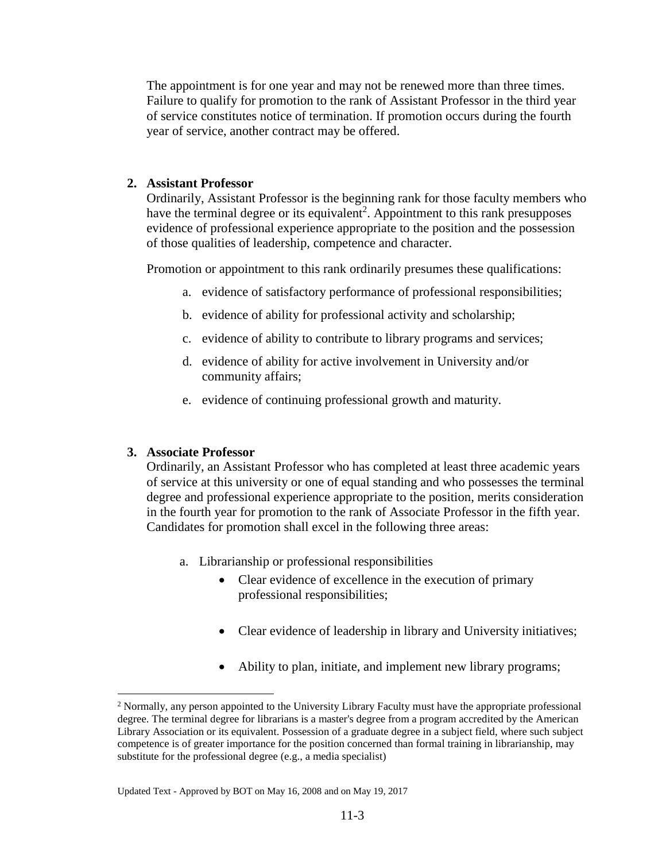The appointment is for one year and may not be renewed more than three times. Failure to qualify for promotion to the rank of Assistant Professor in the third year of service constitutes notice of termination. If promotion occurs during the fourth year of service, another contract may be offered.

## **2. Assistant Professor**

Ordinarily, Assistant Professor is the beginning rank for those faculty members who have the terminal degree or its equivalent<sup>2</sup>. Appointment to this rank presupposes evidence of professional experience appropriate to the position and the possession of those qualities of leadership, competence and character.

Promotion or appointment to this rank ordinarily presumes these qualifications:

- a. evidence of satisfactory performance of professional responsibilities;
- b. evidence of ability for professional activity and scholarship;
- c. evidence of ability to contribute to library programs and services;
- d. evidence of ability for active involvement in University and/or community affairs;
- e. evidence of continuing professional growth and maturity.

# **3. Associate Professor**

 $\overline{a}$ 

Ordinarily, an Assistant Professor who has completed at least three academic years of service at this university or one of equal standing and who possesses the terminal degree and professional experience appropriate to the position, merits consideration in the fourth year for promotion to the rank of Associate Professor in the fifth year. Candidates for promotion shall excel in the following three areas:

- a. Librarianship or professional responsibilities
	- Clear evidence of excellence in the execution of primary professional responsibilities;
	- Clear evidence of leadership in library and University initiatives;
	- Ability to plan, initiate, and implement new library programs;

<sup>&</sup>lt;sup>2</sup> Normally, any person appointed to the University Library Faculty must have the appropriate professional degree. The terminal degree for librarians is a master's degree from a program accredited by the American Library Association or its equivalent. Possession of a graduate degree in a subject field, where such subject competence is of greater importance for the position concerned than formal training in librarianship, may substitute for the professional degree (e.g., a media specialist)

Updated Text - Approved by BOT on May 16, 2008 and on May 19, 2017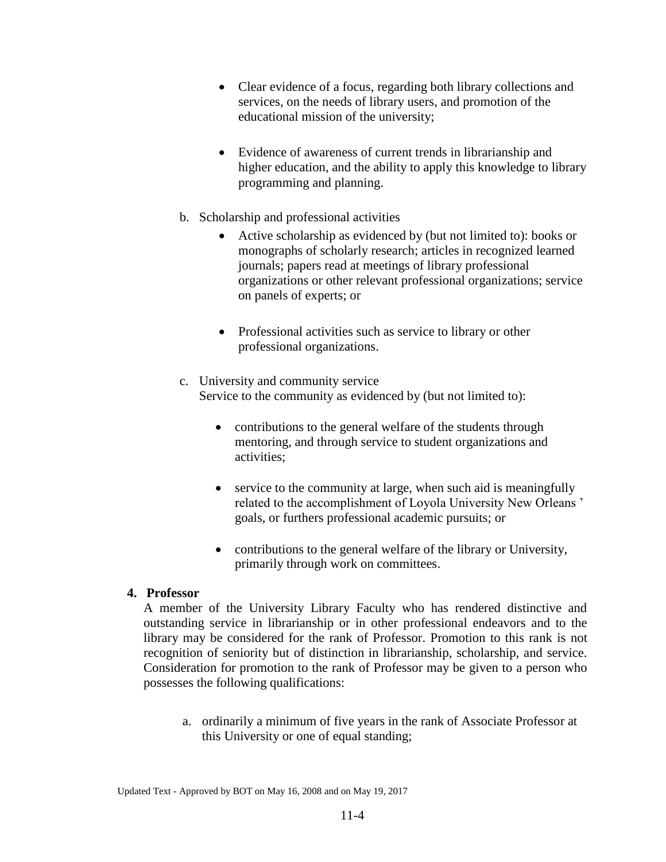- Clear evidence of a focus, regarding both library collections and services, on the needs of library users, and promotion of the educational mission of the university;
- Evidence of awareness of current trends in librarianship and higher education, and the ability to apply this knowledge to library programming and planning.
- b. Scholarship and professional activities
	- Active scholarship as evidenced by (but not limited to): books or monographs of scholarly research; articles in recognized learned journals; papers read at meetings of library professional organizations or other relevant professional organizations; service on panels of experts; or
	- Professional activities such as service to library or other professional organizations.
- c. University and community service Service to the community as evidenced by (but not limited to):
	- contributions to the general welfare of the students through mentoring, and through service to student organizations and activities;
	- service to the community at large, when such aid is meaningfully related to the accomplishment of Loyola University New Orleans ' goals, or furthers professional academic pursuits; or
	- contributions to the general welfare of the library or University, primarily through work on committees.

# **4. Professor**

A member of the University Library Faculty who has rendered distinctive and outstanding service in librarianship or in other professional endeavors and to the library may be considered for the rank of Professor. Promotion to this rank is not recognition of seniority but of distinction in librarianship, scholarship, and service. Consideration for promotion to the rank of Professor may be given to a person who possesses the following qualifications:

a. ordinarily a minimum of five years in the rank of Associate Professor at this University or one of equal standing;

Updated Text - Approved by BOT on May 16, 2008 and on May 19, 2017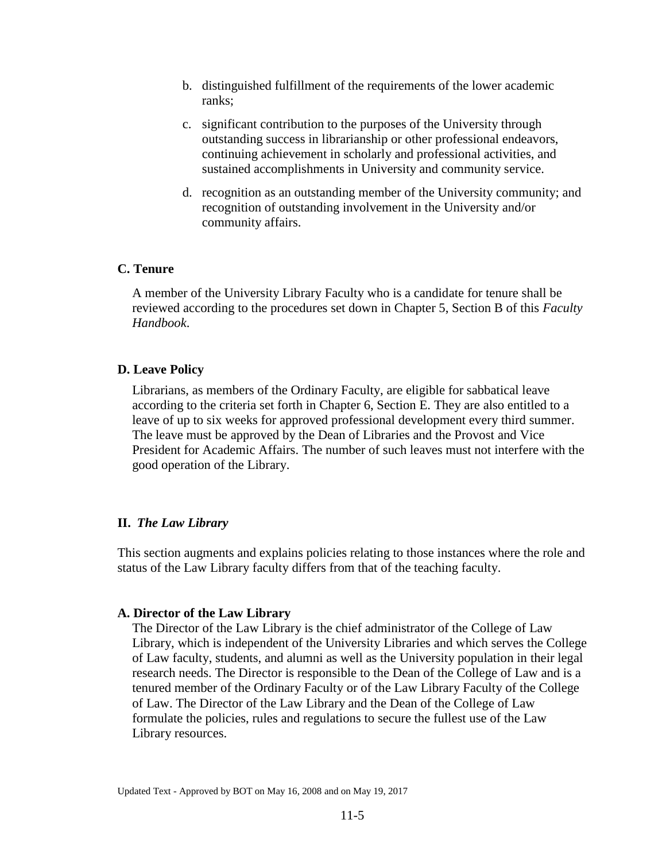- b. distinguished fulfillment of the requirements of the lower academic ranks;
- c. significant contribution to the purposes of the University through outstanding success in librarianship or other professional endeavors, continuing achievement in scholarly and professional activities, and sustained accomplishments in University and community service.
- d. recognition as an outstanding member of the University community; and recognition of outstanding involvement in the University and/or community affairs.

## **C. Tenure**

A member of the University Library Faculty who is a candidate for tenure shall be reviewed according to the procedures set down in Chapter 5, Section B of this *Faculty Handbook*.

### **D. Leave Policy**

Librarians, as members of the Ordinary Faculty, are eligible for sabbatical leave according to the criteria set forth in Chapter 6, Section E. They are also entitled to a leave of up to six weeks for approved professional development every third summer. The leave must be approved by the Dean of Libraries and the Provost and Vice President for Academic Affairs. The number of such leaves must not interfere with the good operation of the Library.

## **II.** *The Law Library*

This section augments and explains policies relating to those instances where the role and status of the Law Library faculty differs from that of the teaching faculty.

#### **A. Director of the Law Library**

The Director of the Law Library is the chief administrator of the College of Law Library, which is independent of the University Libraries and which serves the College of Law faculty, students, and alumni as well as the University population in their legal research needs. The Director is responsible to the Dean of the College of Law and is a tenured member of the Ordinary Faculty or of the Law Library Faculty of the College of Law. The Director of the Law Library and the Dean of the College of Law formulate the policies, rules and regulations to secure the fullest use of the Law Library resources.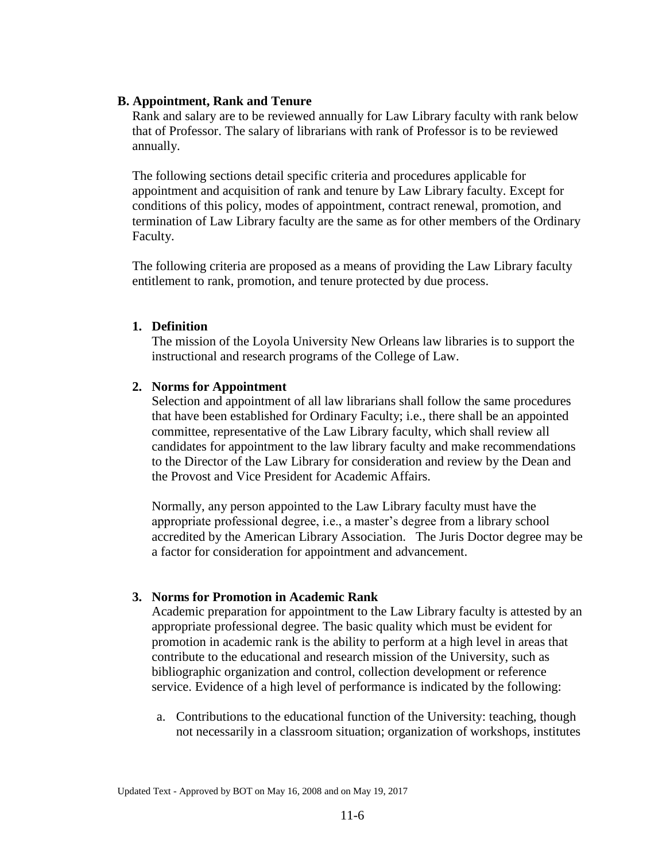### **B. Appointment, Rank and Tenure**

Rank and salary are to be reviewed annually for Law Library faculty with rank below that of Professor. The salary of librarians with rank of Professor is to be reviewed annually.

The following sections detail specific criteria and procedures applicable for appointment and acquisition of rank and tenure by Law Library faculty. Except for conditions of this policy, modes of appointment, contract renewal, promotion, and termination of Law Library faculty are the same as for other members of the Ordinary Faculty.

The following criteria are proposed as a means of providing the Law Library faculty entitlement to rank, promotion, and tenure protected by due process.

### **1. Definition**

The mission of the Loyola University New Orleans law libraries is to support the instructional and research programs of the College of Law.

## **2. Norms for Appointment**

Selection and appointment of all law librarians shall follow the same procedures that have been established for Ordinary Faculty; i.e., there shall be an appointed committee, representative of the Law Library faculty, which shall review all candidates for appointment to the law library faculty and make recommendations to the Director of the Law Library for consideration and review by the Dean and the Provost and Vice President for Academic Affairs.

Normally, any person appointed to the Law Library faculty must have the appropriate professional degree, i.e., a master's degree from a library school accredited by the American Library Association. The Juris Doctor degree may be a factor for consideration for appointment and advancement.

## **3. Norms for Promotion in Academic Rank**

Academic preparation for appointment to the Law Library faculty is attested by an appropriate professional degree. The basic quality which must be evident for promotion in academic rank is the ability to perform at a high level in areas that contribute to the educational and research mission of the University, such as bibliographic organization and control, collection development or reference service. Evidence of a high level of performance is indicated by the following:

a. Contributions to the educational function of the University: teaching, though not necessarily in a classroom situation; organization of workshops, institutes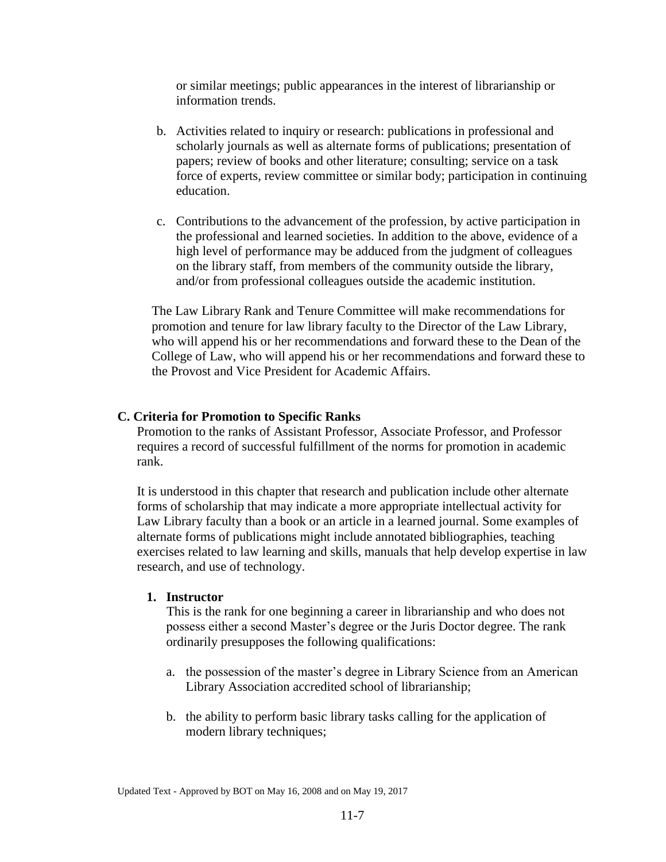or similar meetings; public appearances in the interest of librarianship or information trends.

- b. Activities related to inquiry or research: publications in professional and scholarly journals as well as alternate forms of publications; presentation of papers; review of books and other literature; consulting; service on a task force of experts, review committee or similar body; participation in continuing education.
- c. Contributions to the advancement of the profession, by active participation in the professional and learned societies. In addition to the above, evidence of a high level of performance may be adduced from the judgment of colleagues on the library staff, from members of the community outside the library, and/or from professional colleagues outside the academic institution.

The Law Library Rank and Tenure Committee will make recommendations for promotion and tenure for law library faculty to the Director of the Law Library, who will append his or her recommendations and forward these to the Dean of the College of Law, who will append his or her recommendations and forward these to the Provost and Vice President for Academic Affairs.

#### **C. Criteria for Promotion to Specific Ranks**

Promotion to the ranks of Assistant Professor, Associate Professor, and Professor requires a record of successful fulfillment of the norms for promotion in academic rank.

It is understood in this chapter that research and publication include other alternate forms of scholarship that may indicate a more appropriate intellectual activity for Law Library faculty than a book or an article in a learned journal. Some examples of alternate forms of publications might include annotated bibliographies, teaching exercises related to law learning and skills, manuals that help develop expertise in law research, and use of technology.

### **1. Instructor**

This is the rank for one beginning a career in librarianship and who does not possess either a second Master's degree or the Juris Doctor degree. The rank ordinarily presupposes the following qualifications:

- a. the possession of the master's degree in Library Science from an American Library Association accredited school of librarianship;
- b. the ability to perform basic library tasks calling for the application of modern library techniques;

Updated Text - Approved by BOT on May 16, 2008 and on May 19, 2017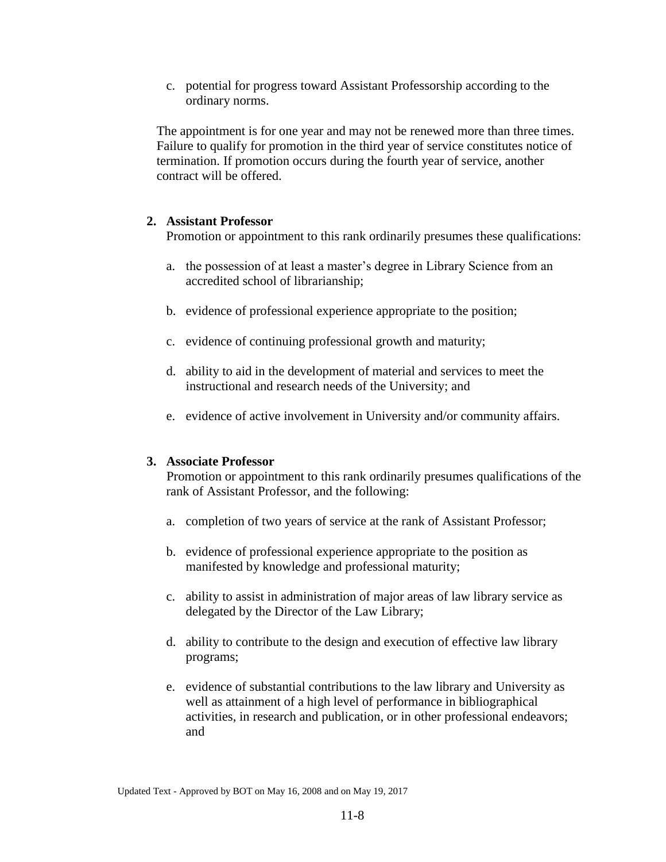c. potential for progress toward Assistant Professorship according to the ordinary norms.

The appointment is for one year and may not be renewed more than three times. Failure to qualify for promotion in the third year of service constitutes notice of termination. If promotion occurs during the fourth year of service, another contract will be offered.

## **2. Assistant Professor**

Promotion or appointment to this rank ordinarily presumes these qualifications:

- a. the possession of at least a master's degree in Library Science from an accredited school of librarianship;
- b. evidence of professional experience appropriate to the position;
- c. evidence of continuing professional growth and maturity;
- d. ability to aid in the development of material and services to meet the instructional and research needs of the University; and
- e. evidence of active involvement in University and/or community affairs.

## **3. Associate Professor**

Promotion or appointment to this rank ordinarily presumes qualifications of the rank of Assistant Professor, and the following:

- a. completion of two years of service at the rank of Assistant Professor;
- b. evidence of professional experience appropriate to the position as manifested by knowledge and professional maturity;
- c. ability to assist in administration of major areas of law library service as delegated by the Director of the Law Library;
- d. ability to contribute to the design and execution of effective law library programs;
- e. evidence of substantial contributions to the law library and University as well as attainment of a high level of performance in bibliographical activities, in research and publication, or in other professional endeavors; and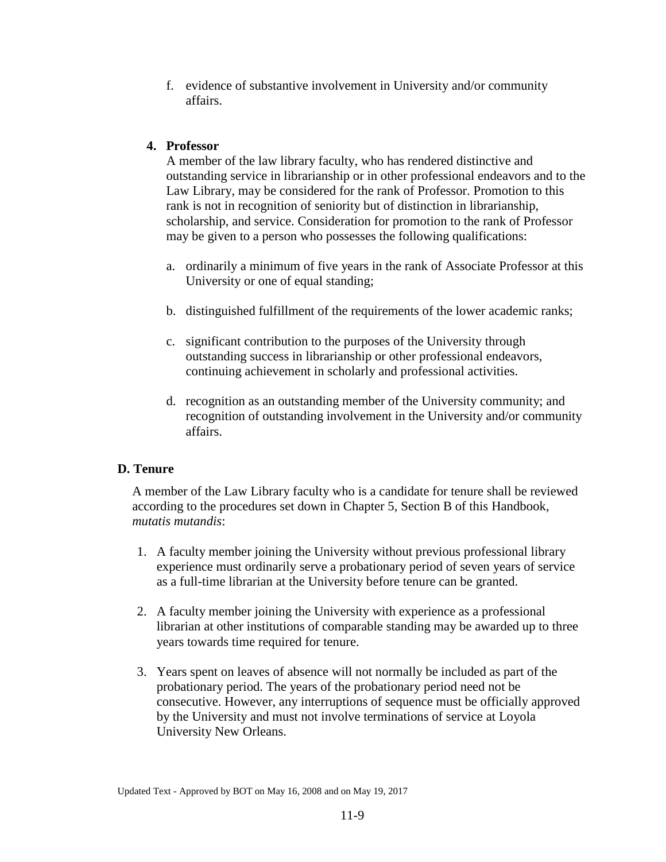f. evidence of substantive involvement in University and/or community affairs.

# **4. Professor**

A member of the law library faculty, who has rendered distinctive and outstanding service in librarianship or in other professional endeavors and to the Law Library, may be considered for the rank of Professor. Promotion to this rank is not in recognition of seniority but of distinction in librarianship, scholarship, and service. Consideration for promotion to the rank of Professor may be given to a person who possesses the following qualifications:

- a. ordinarily a minimum of five years in the rank of Associate Professor at this University or one of equal standing;
- b. distinguished fulfillment of the requirements of the lower academic ranks;
- c. significant contribution to the purposes of the University through outstanding success in librarianship or other professional endeavors, continuing achievement in scholarly and professional activities.
- d. recognition as an outstanding member of the University community; and recognition of outstanding involvement in the University and/or community affairs.

# **D. Tenure**

A member of the Law Library faculty who is a candidate for tenure shall be reviewed according to the procedures set down in Chapter 5, Section B of this Handbook, *mutatis mutandis*:

- 1. A faculty member joining the University without previous professional library experience must ordinarily serve a probationary period of seven years of service as a full-time librarian at the University before tenure can be granted.
- 2. A faculty member joining the University with experience as a professional librarian at other institutions of comparable standing may be awarded up to three years towards time required for tenure.
- 3. Years spent on leaves of absence will not normally be included as part of the probationary period. The years of the probationary period need not be consecutive. However, any interruptions of sequence must be officially approved by the University and must not involve terminations of service at Loyola University New Orleans.

Updated Text - Approved by BOT on May 16, 2008 and on May 19, 2017